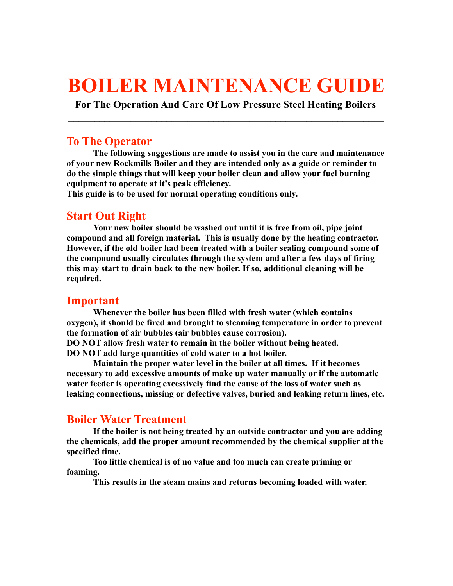# **BOILER MAINTENANCE GUIDE**

**For The Operation And Care Of Low Pressure Steel Heating Boilers \_\_\_\_\_\_\_\_\_\_\_\_\_\_\_\_\_\_\_\_\_\_\_\_\_\_\_\_\_\_\_\_\_\_\_\_\_\_\_\_\_\_\_\_\_\_\_\_\_\_\_\_\_\_\_\_\_\_\_\_\_**

#### **To The Operator**

**The following suggestions are made to assist you in the care and maintenance of your new Rockmills Boiler and they are intended only as a guide or reminder to do the simple things that will keep your boiler clean and allow your fuel burning equipment to operate at it's peak efficiency.**

**This guide is to be used for normal operating conditions only.**

# **Start Out Right**

**Your new boiler should be washed out until it is free from oil, pipe joint compound and all foreign material. This is usually done by the heating contractor. However, if the old boiler had been treated with a boiler sealing compound some of the compound usually circulates through the system and after a few days of firing this may start to drain back to the new boiler. If so, additional cleaning will be required.**

### **Important**

**Whenever the boiler has been filled with fresh water (which contains oxygen), it should be fired and brought to steaming temperature in order to prevent the formation of air bubbles (air bubbles cause corrosion). DO NOT allow fresh water to remain in the boiler without being heated.** 

**DO NOT add large quantities of cold water to a hot boiler.**

**Maintain the proper water level in the boiler at all times. If it becomes necessary to add excessive amounts of make up water manually or if the automatic water feeder is operating excessively find the cause of the loss of water such as leaking connections, missing or defective valves, buried and leaking return lines, etc.**

# **Boiler Water Treatment**

**If the boiler is not being treated by an outside contractor and you are adding the chemicals, add the proper amount recommended by the chemical supplier at the specified time.**

**Too little chemical is of no value and too much can create priming or foaming.**

**This results in the steam mains and returns becoming loaded with water.**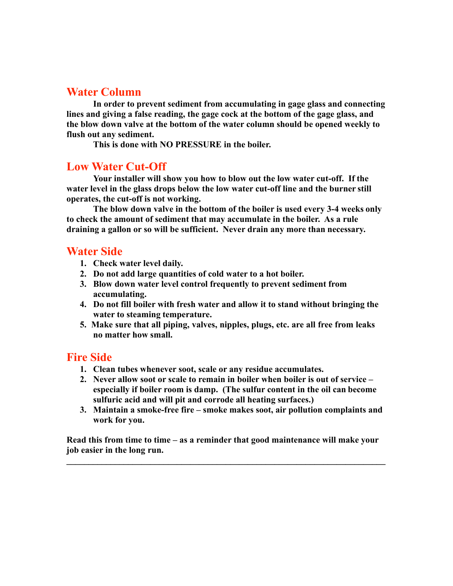# **Water Column**

**In order to prevent sediment from accumulating in gage glass and connecting lines and giving a false reading, the gage cock at the bottom of the gage glass, and the blow down valve at the bottom of the water column should be opened weekly to flush out any sediment.**

**This is done with NO PRESSURE in the boiler.**

#### **Low Water Cut-Off**

**Your installer will show you how to blow out the low water cut-off. If the water level in the glass drops below the low water cut-off line and the burner still operates, the cut-off is not working.**

**The blow down valve in the bottom of the boiler is used every 3-4 weeks only to check the amount of sediment that may accumulate in the boiler. As a rule draining a gallon or so will be sufficient. Never drain any more than necessary.**

## **Water Side**

- **1. Check water level daily.**
- **2. Do not add large quantities of cold water to a hot boiler.**
- **3. Blow down water level control frequently to prevent sediment from accumulating.**
- **4. Do not fill boiler with fresh water and allow it to stand without bringing the water to steaming temperature.**
- **5. Make sure that all piping, valves, nipples, plugs, etc. are all free from leaks no matter how small.**

### **Fire Side**

- **1. Clean tubes whenever soot, scale or any residue accumulates.**
- **2. Never allow soot or scale to remain in boiler when boiler is out of service especially if boiler room is damp. (The sulfur content in the oil can become sulfuric acid and will pit and corrode all heating surfaces.)**
- **3. Maintain a smoke-free fire smoke makes soot, air pollution complaints and work for you.**

**Read this from time to time – as a reminder that good maintenance will make your job easier in the long run.** 

 $\mathcal{L}_\mathcal{L} = \{ \mathcal{L}_\mathcal{L} = \{ \mathcal{L}_\mathcal{L} = \{ \mathcal{L}_\mathcal{L} = \{ \mathcal{L}_\mathcal{L} = \{ \mathcal{L}_\mathcal{L} = \{ \mathcal{L}_\mathcal{L} = \{ \mathcal{L}_\mathcal{L} = \{ \mathcal{L}_\mathcal{L} = \{ \mathcal{L}_\mathcal{L} = \{ \mathcal{L}_\mathcal{L} = \{ \mathcal{L}_\mathcal{L} = \{ \mathcal{L}_\mathcal{L} = \{ \mathcal{L}_\mathcal{L} = \{ \mathcal{L}_\mathcal{$